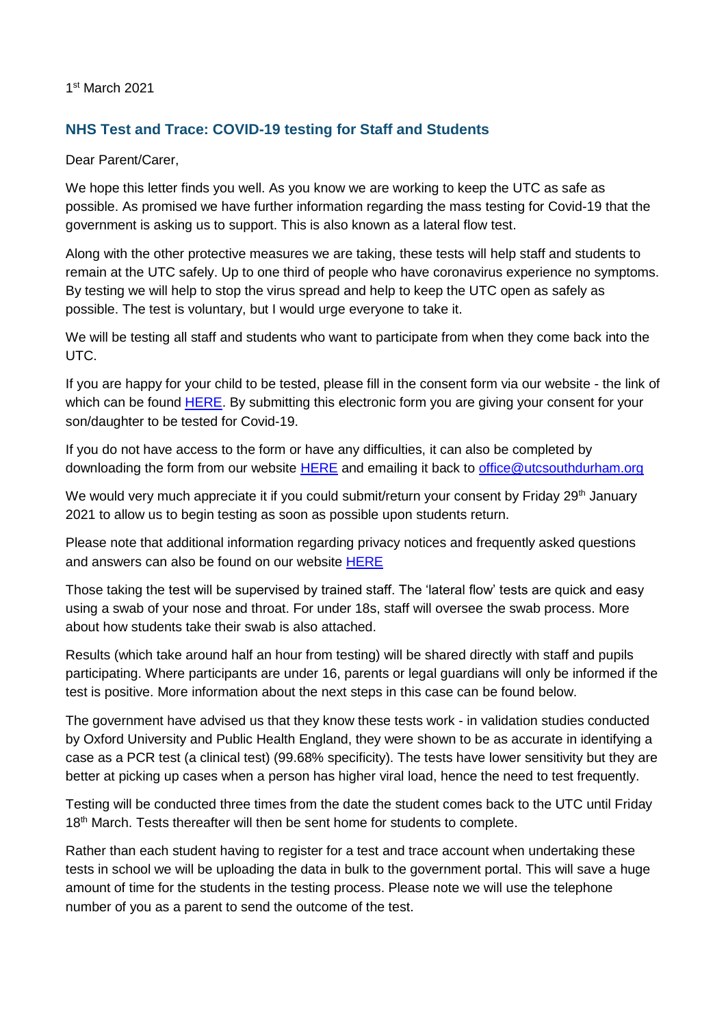1 st March 2021

## **NHS Test and Trace: COVID-19 testing for Staff and Students**

Dear Parent/Carer,

We hope this letter finds you well. As you know we are working to keep the UTC as safe as possible. As promised we have further information regarding the mass testing for Covid-19 that the government is asking us to support. This is also known as a lateral flow test.

Along with the other protective measures we are taking, these tests will help staff and students to remain at the UTC safely. Up to one third of people who have coronavirus experience no symptoms. By testing we will help to stop the virus spread and help to keep the UTC open as safely as possible. The test is voluntary, but I would urge everyone to take it.

We will be testing all staff and students who want to participate from when they come back into the UTC.

If you are happy for your child to be tested, please fill in the consent form via our website - the link of which can be found [HERE.](https://fs28.formsite.com/WyTmhk/dyugb6y9hs/index.html?1614679064389) By submitting this electronic form you are giving your consent for your son/daughter to be tested for Covid-19.

If you do not have access to the form or have any difficulties, it can also be completed by downloading the form from our website [HERE](https://www.utcsouthdurham.org/home/parent-information) and emailing it back to [office@utcsouthdurham.org](mailto:office@utcsouthdurham.org)

We would very much appreciate it if you could submit/return your consent by Friday 29<sup>th</sup> January 2021 to allow us to begin testing as soon as possible upon students return.

Please note that additional information regarding privacy notices and frequently asked questions and answers can also be found on our website [HERE](https://www.utcsouthdurham.org/home/parent-information)

Those taking the test will be supervised by trained staff. The 'lateral flow' tests are quick and easy using a swab of your nose and throat. For under 18s, staff will oversee the swab process. More about how students take their swab is also attached.

Results (which take around half an hour from testing) will be shared directly with staff and pupils participating. Where participants are under 16, parents or legal guardians will only be informed if the test is positive. More information about the next steps in this case can be found below.

The government have advised us that they know these tests work - in validation studies conducted by Oxford University and Public Health England, they were shown to be as accurate in identifying a case as a PCR test (a clinical test) (99.68% specificity). The tests have lower sensitivity but they are better at picking up cases when a person has higher viral load, hence the need to test frequently.

Testing will be conducted three times from the date the student comes back to the UTC until Friday 18<sup>th</sup> March. Tests thereafter will then be sent home for students to complete.

Rather than each student having to register for a test and trace account when undertaking these tests in school we will be uploading the data in bulk to the government portal. This will save a huge amount of time for the students in the testing process. Please note we will use the telephone number of you as a parent to send the outcome of the test.